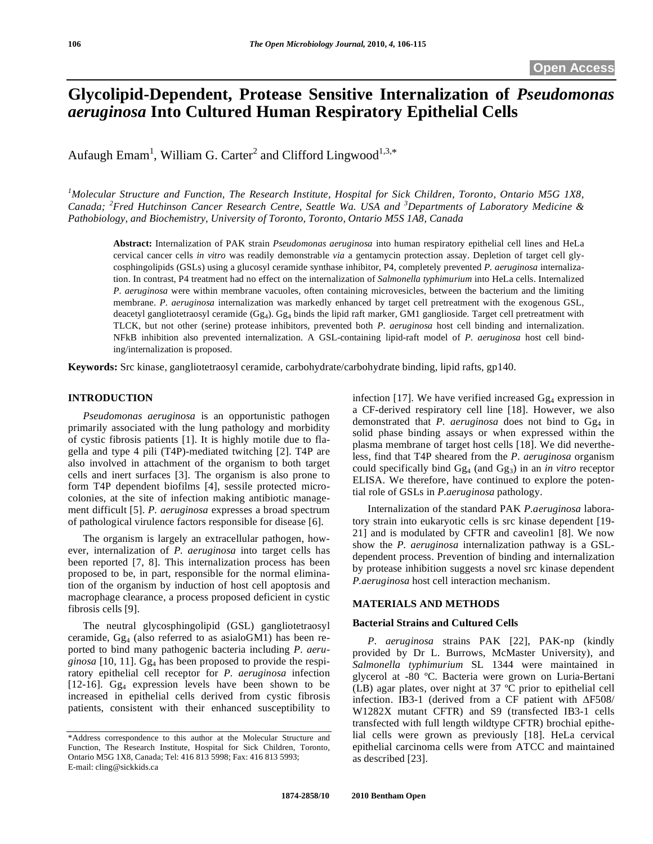# **Glycolipid-Dependent, Protease Sensitive Internalization of** *Pseudomonas aeruginosa* **Into Cultured Human Respiratory Epithelial Cells**

Aufaugh Emam<sup>1</sup>, William G. Carter<sup>2</sup> and Clifford Lingwood<sup>1,3,\*</sup>

<sup>1</sup>Molecular Structure and Function, The Research Institute, Hospital for Sick Children, Toronto, Ontario M5G 1X8, *Canada; <sup>2</sup> Fred Hutchinson Cancer Research Centre, Seattle Wa. USA and <sup>3</sup> Departments of Laboratory Medicine & Pathobiology, and Biochemistry, University of Toronto, Toronto, Ontario M5S 1A8, Canada* 

**Abstract:** Internalization of PAK strain *Pseudomonas aeruginosa* into human respiratory epithelial cell lines and HeLa cervical cancer cells *in vitro* was readily demonstrable *via* a gentamycin protection assay. Depletion of target cell glycosphingolipids (GSLs) using a glucosyl ceramide synthase inhibitor, P4, completely prevented *P. aeruginosa* internalization. In contrast, P4 treatment had no effect on the internalization of *Salmonella typhimurium* into HeLa cells. Internalized *P. aeruginosa* were within membrane vacuoles, often containing microvesicles, between the bacterium and the limiting membrane. *P. aeruginosa* internalization was markedly enhanced by target cell pretreatment with the exogenous GSL, deacetyl gangliotetraosyl ceramide (Gg<sub>4</sub>). Gg<sub>4</sub> binds the lipid raft marker, GM1 ganglioside. Target cell pretreatment with TLCK, but not other (serine) protease inhibitors, prevented both *P. aeruginosa* host cell binding and internalization. NFkB inhibition also prevented internalization. A GSL-containing lipid-raft model of *P. aeruginosa* host cell binding/internalization is proposed.

**Keywords:** Src kinase, gangliotetraosyl ceramide, carbohydrate/carbohydrate binding, lipid rafts, gp140.

# **INTRODUCTION**

 *Pseudomonas aeruginosa* is an opportunistic pathogen primarily associated with the lung pathology and morbidity of cystic fibrosis patients [1]. It is highly motile due to flagella and type 4 pili (T4P)-mediated twitching [2]. T4P are also involved in attachment of the organism to both target cells and inert surfaces [3]. The organism is also prone to form T4P dependent biofilms [4], sessile protected microcolonies, at the site of infection making antibiotic management difficult [5]. *P. aeruginosa* expresses a broad spectrum of pathological virulence factors responsible for disease [6].

 The organism is largely an extracellular pathogen, however, internalization of *P. aeruginosa* into target cells has been reported [7, 8]. This internalization process has been proposed to be, in part, responsible for the normal elimination of the organism by induction of host cell apoptosis and macrophage clearance, a process proposed deficient in cystic fibrosis cells [9].

 The neutral glycosphingolipid (GSL) gangliotetraosyl ceramide,  $Gg_4$  (also referred to as asialoGM1) has been reported to bind many pathogenic bacteria including *P. aeru*ginosa [10, 11]. Gg<sub>4</sub> has been proposed to provide the respiratory epithelial cell receptor for *P. aeruginosa* infection [12-16]. Gg4 expression levels have been shown to be increased in epithelial cells derived from cystic fibrosis patients, consistent with their enhanced susceptibility to infection [17]. We have verified increased  $Gg_4$  expression in a CF-derived respiratory cell line [18]. However, we also demonstrated that *P. aeruginosa* does not bind to Gg<sub>4</sub> in solid phase binding assays or when expressed within the plasma membrane of target host cells [18]. We did nevertheless, find that T4P sheared from the *P. aeruginosa* organism could specifically bind Gg4 (and Gg3) in an *in vitro* receptor ELISA. We therefore, have continued to explore the potential role of GSLs in *P.aeruginosa* pathology.

 Internalization of the standard PAK *P.aeruginosa* laboratory strain into eukaryotic cells is src kinase dependent [19- 21] and is modulated by CFTR and caveolin1 [8]. We now show the *P. aeruginosa* internalization pathway is a GSLdependent process. Prevention of binding and internalization by protease inhibition suggests a novel src kinase dependent *P.aeruginosa* host cell interaction mechanism.

# **MATERIALS AND METHODS**

## **Bacterial Strains and Cultured Cells**

*P*. *aeruginosa* strains PAK [22], PAK-np (kindly provided by Dr L. Burrows, McMaster University), and *Salmonella typhimurium* SL 1344 were maintained in glycerol at -80 ºC. Bacteria were grown on Luria-Bertani (LB) agar plates, over night at 37 ºC prior to epithelial cell infection. IB3-1 (derived from a CF patient with  $\Delta$ F508/ W1282X mutant CFTR) and S9 (transfected IB3-1 cells transfected with full length wildtype CFTR) brochial epithelial cells were grown as previously [18]. HeLa cervical epithelial carcinoma cells were from ATCC and maintained as described [23].

<sup>\*</sup>Address correspondence to this author at the Molecular Structure and Function, The Research Institute, Hospital for Sick Children, Toronto, Ontario M5G 1X8, Canada; Tel: 416 813 5998; Fax: 416 813 5993; E-mail: cling@sickkids.ca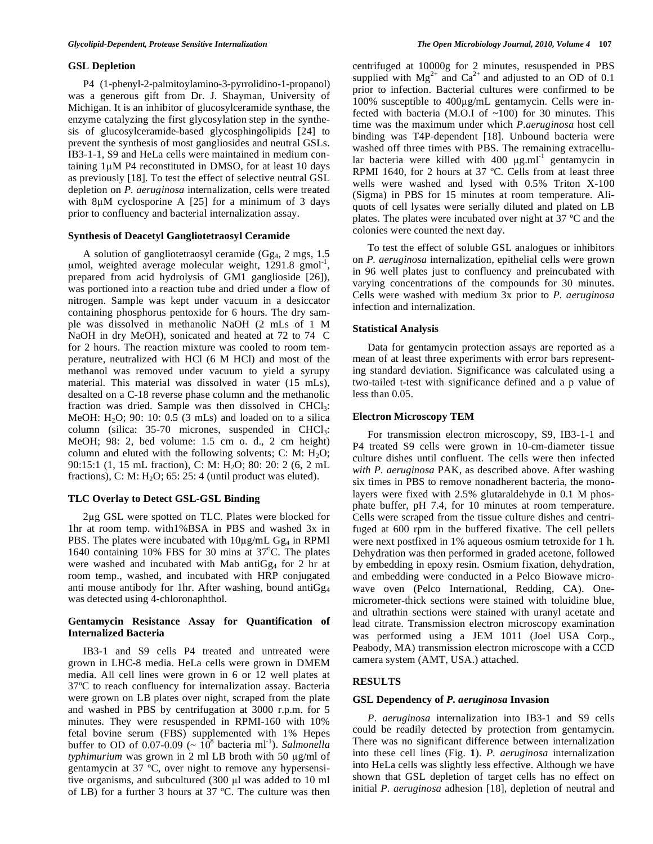#### **GSL Depletion**

P4 (1-phenyl-2-palmitoylamino-3-pyrrolidino-1-propanol) was a generous gift from Dr. J. Shayman, University of Michigan. It is an inhibitor of glucosylceramide synthase, the enzyme catalyzing the first glycosylation step in the synthesis of glucosylceramide-based glycosphingolipids [24] to prevent the synthesis of most gangliosides and neutral GSLs. IB3-1-1, S9 and HeLa cells were maintained in medium containing 1uM P4 reconstituted in DMSO, for at least 10 days as previously [18]. To test the effect of selective neutral GSL depletion on *P. aeruginosa* internalization, cells were treated with  $8\mu$ M cyclosporine A [25] for a minimum of 3 days prior to confluency and bacterial internalization assay.

#### **Synthesis of Deacetyl Gangliotetraosyl Ceramide**

 A solution of gangliotetraosyl ceramide (Gg4, 2 mgs, 1.5 umol, weighted average molecular weight,  $1291.8 \text{ gmol}^{-1}$ , prepared from acid hydrolysis of GM1 ganglioside [26]), was portioned into a reaction tube and dried under a flow of nitrogen. Sample was kept under vacuum in a desiccator containing phosphorus pentoxide for 6 hours. The dry sample was dissolved in methanolic NaOH (2 mLs of 1 M NaOH in dry MeOH), sonicated and heated at 72 to 74 C for 2 hours. The reaction mixture was cooled to room temperature, neutralized with HCl (6 M HCl) and most of the methanol was removed under vacuum to yield a syrupy material. This material was dissolved in water (15 mLs), desalted on a C-18 reverse phase column and the methanolic fraction was dried. Sample was then dissolved in CHCl<sub>3</sub>: MeOH:  $H<sub>2</sub>O$ ; 90: 10: 0.5 (3 mLs) and loaded on to a silica column (silica:  $35-70$  micrones, suspended in CHCl<sub>3</sub>: MeOH; 98: 2, bed volume: 1.5 cm o. d., 2 cm height) column and eluted with the following solvents; C: M:  $H_2O$ ; 90:15:1 (1, 15 mL fraction), C: M: H<sub>2</sub>O; 80: 20: 2 (6, 2 mL) fractions), C: M:  $H<sub>2</sub>O$ ; 65: 25: 4 (until product was eluted).

# **TLC Overlay to Detect GSL-GSL Binding**

 2g GSL were spotted on TLC. Plates were blocked for 1hr at room temp. with1%BSA in PBS and washed 3x in PBS. The plates were incubated with  $10\mu\text{g/mL}$  Gg<sub>4</sub> in RPMI 1640 containing 10% FBS for 30 mins at 37°C. The plates were washed and incubated with Mab anti $Gg_4$  for 2 hr at room temp., washed, and incubated with HRP conjugated anti mouse antibody for 1hr. After washing, bound anti $Gg_4$ was detected using 4-chloronaphthol.

# **Gentamycin Resistance Assay for Quantification of Internalized Bacteria**

 IB3-1 and S9 cells P4 treated and untreated were grown in LHC-8 media. HeLa cells were grown in DMEM media. All cell lines were grown in 6 or 12 well plates at 37ºC to reach confluency for internalization assay. Bacteria were grown on LB plates over night, scraped from the plate and washed in PBS by centrifugation at 3000 r.p.m. for 5 minutes. They were resuspended in RPMI-160 with 10% fetal bovine serum (FBS) supplemented with 1% Hepes buffer to OD of  $0.07-0.09$  ( $\sim 10^8$  bacteria ml<sup>-1</sup>). *Salmonella typhimurium* was grown in 2 ml LB broth with 50 µg/ml of gentamycin at 37 ºC, over night to remove any hypersensitive organisms, and subcultured  $(300 \mu l)$  was added to 10 ml of LB) for a further 3 hours at 37 ºC. The culture was then

centrifuged at 10000g for 2 minutes, resuspended in PBS supplied with  $Mg^{2+}$  and  $Ca^{2+}$  and adjusted to an OD of 0.1 prior to infection. Bacterial cultures were confirmed to be 100% susceptible to  $400\mu\text{g/mL}$  gentamycin. Cells were infected with bacteria (M.O.I of  $~100$ ) for 30 minutes. This time was the maximum under which *P.aeruginosa* host cell binding was T4P-dependent [18]. Unbound bacteria were washed off three times with PBS. The remaining extracellular bacteria were killed with  $400 \mu g.m^{-1}$  gentamycin in RPMI 1640, for 2 hours at 37 ºC. Cells from at least three wells were washed and lysed with 0.5% Triton X-100 (Sigma) in PBS for 15 minutes at room temperature. Aliquots of cell lysates were serially diluted and plated on LB plates. The plates were incubated over night at 37 ºC and the colonies were counted the next day.

 To test the effect of soluble GSL analogues or inhibitors on *P. aeruginosa* internalization, epithelial cells were grown in 96 well plates just to confluency and preincubated with varying concentrations of the compounds for 30 minutes. Cells were washed with medium 3x prior to *P. aeruginosa* infection and internalization.

# **Statistical Analysis**

 Data for gentamycin protection assays are reported as a mean of at least three experiments with error bars representing standard deviation. Significance was calculated using a two-tailed t-test with significance defined and a p value of less than 0.05.

# **Electron Microscopy TEM**

 For transmission electron microscopy, S9, IB3-1-1 and P4 treated S9 cells were grown in 10-cm-diameter tissue culture dishes until confluent. The cells were then infected *with P. aeruginosa* PAK, as described above. After washing six times in PBS to remove nonadherent bacteria, the monolayers were fixed with 2.5% glutaraldehyde in 0.1 M phosphate buffer, pH 7.4, for 10 minutes at room temperature. Cells were scraped from the tissue culture dishes and centrifuged at 600 rpm in the buffered fixative. The cell pellets were next postfixed in 1% aqueous osmium tetroxide for 1 h. Dehydration was then performed in graded acetone, followed by embedding in epoxy resin. Osmium fixation, dehydration, and embedding were conducted in a Pelco Biowave microwave oven (Pelco International, Redding, CA). Onemicrometer-thick sections were stained with toluidine blue, and ultrathin sections were stained with uranyl acetate and lead citrate. Transmission electron microscopy examination was performed using a JEM 1011 (Joel USA Corp., Peabody, MA) transmission electron microscope with a CCD camera system (AMT, USA.) attached.

# **RESULTS**

#### **GSL Dependency of** *P. aeruginosa* **Invasion**

 *P*. *aeruginosa* internalization into IB3-1 and S9 cells could be readily detected by protection from gentamycin. There was no significant difference between internalization into these cell lines (Fig. **1**). *P. aeruginosa* internalization into HeLa cells was slightly less effective. Although we have shown that GSL depletion of target cells has no effect on initial *P. aeruginosa* adhesion [18], depletion of neutral and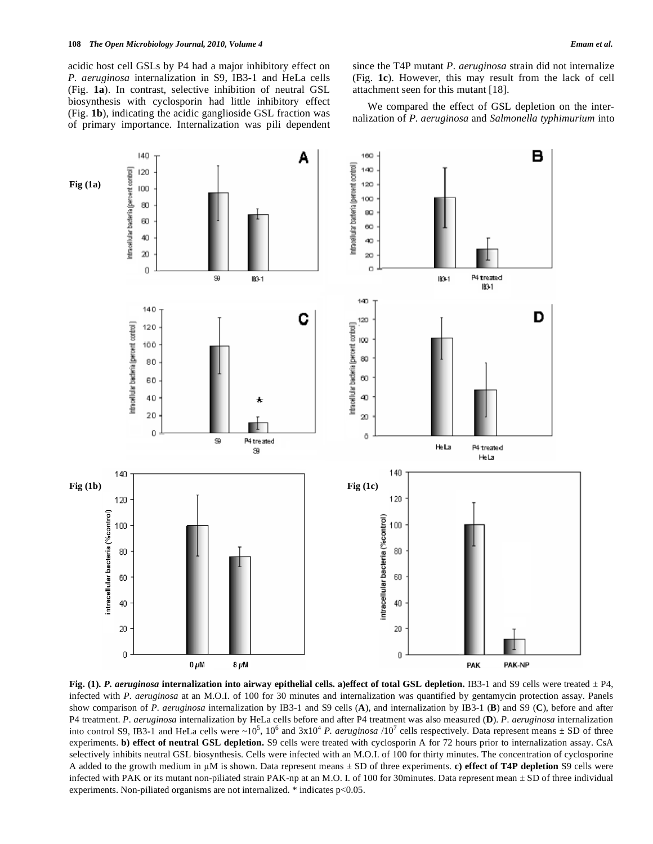acidic host cell GSLs by P4 had a major inhibitory effect on *P. aeruginosa* internalization in S9, IB3-1 and HeLa cells (Fig. **1a**). In contrast, selective inhibition of neutral GSL biosynthesis with cyclosporin had little inhibitory effect (Fig. **1b**), indicating the acidic ganglioside GSL fraction was of primary importance. Internalization was pili dependent since the T4P mutant *P. aeruginosa* strain did not internalize (Fig. **1c**). However, this may result from the lack of cell attachment seen for this mutant [18].

 We compared the effect of GSL depletion on the internalization of *P. aeruginosa* and *Salmonella typhimurium* into



**Fig. (1).** *P. aeruginosa* **internalization into airway epithelial cells. a)effect of total GSL depletion.** IB3-1 and S9 cells were treated  $\pm$  P4, infected with *P. aeruginosa* at an M.O.I. of 100 for 30 minutes and internalization was quantified by gentamycin protection assay. Panels show comparison of *P. aeruginosa* internalization by IB3-1 and S9 cells (**A**), and internalization by IB3-1 (**B**) and S9 (**C**), before and after P4 treatment. *P. aeruginosa* internalization by HeLa cells before and after P4 treatment was also measured (**D**). *P. aeruginosa* internalization into control S9, IB3-1 and HeLa cells were  $\sim 10^5$ ,  $10^6$  and  $3x10^4$  *P. aeruginosa* /10<sup>7</sup> cells respectively. Data represent means  $\pm$  SD of three experiments. **b) effect of neutral GSL depletion.** S9 cells were treated with cyclosporin A for 72 hours prior to internalization assay. CsA selectively inhibits neutral GSL biosynthesis. Cells were infected with an M.O.I. of 100 for thirty minutes. The concentration of cyclosporine A added to the growth medium in  $\mu$ M is shown. Data represent means  $\pm$  SD of three experiments. **c) effect of T4P depletion** S9 cells were infected with PAK or its mutant non-piliated strain PAK-np at an M.O. I. of 100 for 30minutes. Data represent mean ± SD of three individual experiments. Non-piliated organisms are not internalized. \* indicates p<0.05.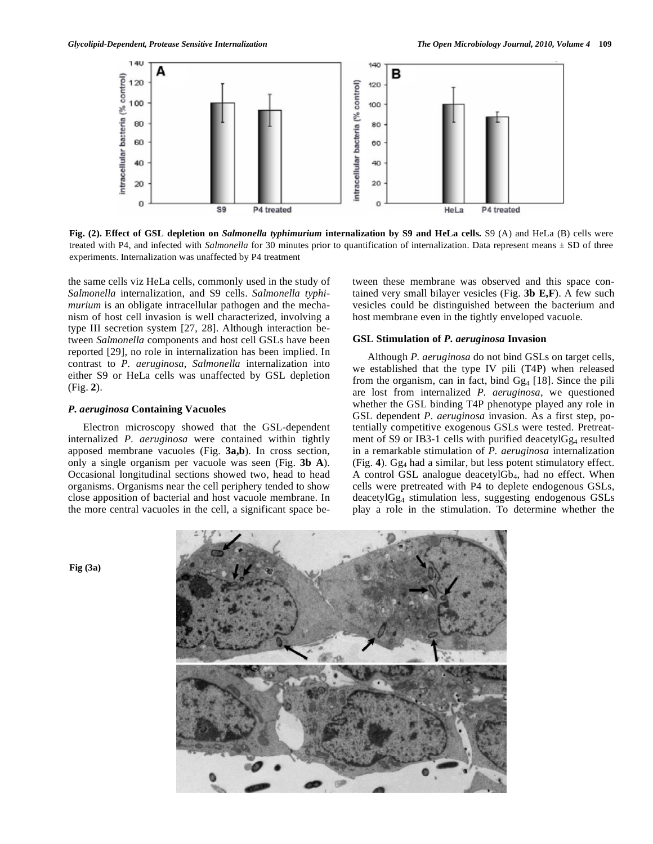

**Fig. (2). Effect of GSL depletion on** *Salmonella typhimurium* **internalization by S9 and HeLa cells.** S9 (A) and HeLa (B) cells were treated with P4, and infected with *Salmonella* for 30 minutes prior to quantification of internalization. Data represent means ± SD of three experiments. Internalization was unaffected by P4 treatment

the same cells viz HeLa cells, commonly used in the study of *Salmonella* internalization, and S9 cells. *Salmonella typhimurium* is an obligate intracellular pathogen and the mechanism of host cell invasion is well characterized, involving a type III secretion system [27, 28]. Although interaction between *Salmonella* components and host cell GSLs have been reported [29], no role in internalization has been implied. In contrast to *P. aeruginosa*, *Salmonella* internalization into either S9 or HeLa cells was unaffected by GSL depletion (Fig. **2**).

# *P. aeruginosa* **Containing Vacuoles**

 Electron microscopy showed that the GSL-dependent internalized *P. aeruginosa* were contained within tightly apposed membrane vacuoles (Fig. **3a,b**). In cross section, only a single organism per vacuole was seen (Fig. **3b A**). Occasional longitudinal sections showed two, head to head organisms. Organisms near the cell periphery tended to show close apposition of bacterial and host vacuole membrane. In the more central vacuoles in the cell, a significant space between these membrane was observed and this space contained very small bilayer vesicles (Fig. **3b E,F**). A few such vesicles could be distinguished between the bacterium and host membrane even in the tightly enveloped vacuole.

# **GSL Stimulation of** *P. aeruginosa* **Invasion**

 Although *P. aeruginosa* do not bind GSLs on target cells, we established that the type IV pili (T4P) when released from the organism, can in fact, bind  $Gg_4$  [18]. Since the pili are lost from internalized *P. aeruginosa,* we questioned whether the GSL binding T4P phenotype played any role in GSL dependent *P. aeruginosa* invasion. As a first step, potentially competitive exogenous GSLs were tested. Pretreatment of S9 or IB3-1 cells with purified deacetyl $Gg_4$  resulted in a remarkable stimulation of *P. aeruginosa* internalization (Fig. **4**). Gg4 had a similar, but less potent stimulatory effect. A control GSL analogue deacetylGb4, had no effect. When cells were pretreated with P4 to deplete endogenous GSLs, deacetylGg4 stimulation less, suggesting endogenous GSLs play a role in the stimulation. To determine whether the



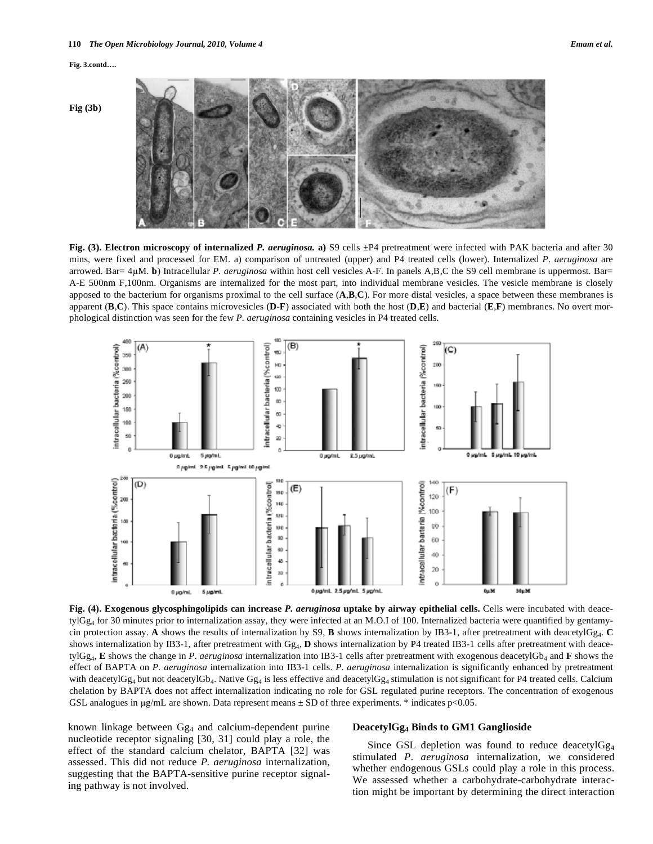

**Fig. (3). Electron microscopy of internalized P. aeruginosa. a) S9 cells**  $\pm$ **P4 pretreatment were infected with PAK bacteria and after 30** mins, were fixed and processed for EM. a) comparison of untreated (upper) and P4 treated cells (lower). Internalized *P. aeruginosa* are arrowed. Bar= 4M. **b**) Intracellular *P. aeruginosa* within host cell vesicles A-F. In panels A,B,C the S9 cell membrane is uppermost. Bar= A-E 500nm F,100nm. Organisms are internalized for the most part, into individual membrane vesicles. The vesicle membrane is closely apposed to the bacterium for organisms proximal to the cell surface (**A**,**B**,**C**). For more distal vesicles, a space between these membranes is apparent (**B**,**C**). This space contains microvesicles (**D**-**F**) associated with both the host (**D**,**E**) and bacterial (**E**,**F**) membranes. No overt morphological distinction was seen for the few *P. aeruginosa* containing vesicles in P4 treated cells.



**Fig. (4). Exogenous glycosphingolipids can increase** *P. aeruginosa* **uptake by airway epithelial cells.** Cells were incubated with deace $t$ ylGg<sub>4</sub> for 30 minutes prior to internalization assay, they were infected at an M.O.I of 100. Internalized bacteria were quantified by gentamycin protection assay. **A** shows the results of internalization by S9, **B** shows internalization by IB3-1, after pretreatment with deacetylGg4. **C** shows internalization by IB3-1, after pretreatment with  $Gg<sub>4</sub>$ , **D** shows internalization by P4 treated IB3-1 cells after pretreatment with deacetylGg4, **E** shows the change in *P. aeruginosa* internalization into IB3-1 cells after pretreatment with exogenous deacetylGb4 and **F** shows the effect of BAPTA on *P. aeruginosa* internalization into IB3-1 cells. *P. aeruginosa* internalization is significantly enhanced by pretreatment with deacetylGg<sub>4</sub> but not deacetylGb<sub>4</sub>. Native Gg<sub>4</sub> is less effective and deacetylGg<sub>4</sub> stimulation is not significant for P4 treated cells. Calcium chelation by BAPTA does not affect internalization indicating no role for GSL regulated purine receptors. The concentration of exogenous GSL analogues in  $\mu$ g/mL are shown. Data represent means  $\pm$  SD of three experiments. \* indicates p<0.05.

known linkage between Gg<sub>4</sub> and calcium-dependent purine nucleotide receptor signaling [30, 31] could play a role, the effect of the standard calcium chelator, BAPTA [32] was assessed. This did not reduce *P. aeruginosa* internalization, suggesting that the BAPTA-sensitive purine receptor signaling pathway is not involved.

# **DeacetylGg4 Binds to GM1 Ganglioside**

Since GSL depletion was found to reduce deacetylGg<sub>4</sub> stimulated *P. aeruginosa* internalization, we considered whether endogenous GSLs could play a role in this process. We assessed whether a carbohydrate-carbohydrate interaction might be important by determining the direct interaction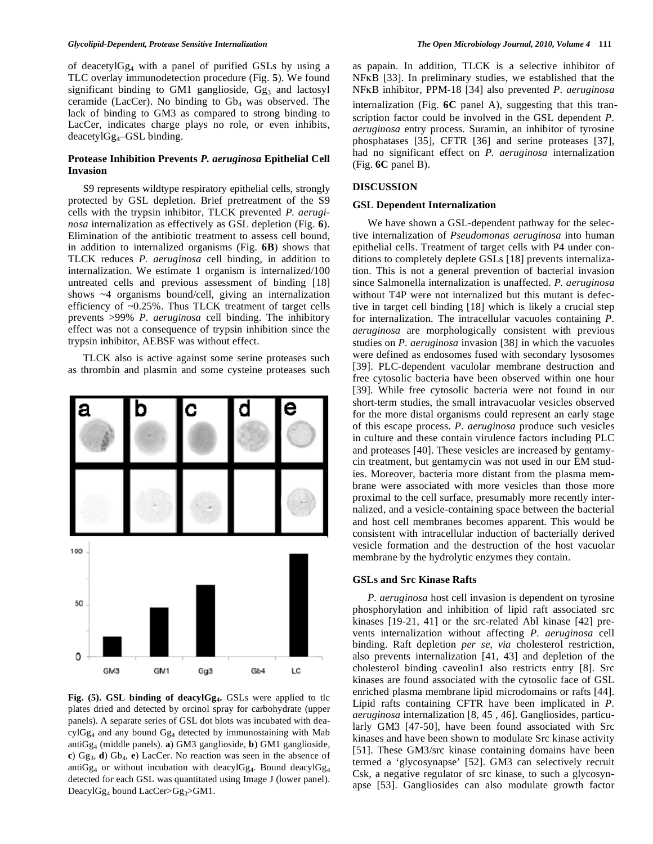#### *Glycolipid-Dependent, Protease Sensitive Internalization The Open Microbiology Journal, 2010, Volume 4* **111**

of deacetylGg4 with a panel of purified GSLs by using a TLC overlay immunodetection procedure (Fig. **5**). We found significant binding to GM1 ganglioside,  $Gg<sub>3</sub>$  and lactosyl ceramide (LacCer). No binding to  $Gb_4$  was observed. The lack of binding to GM3 as compared to strong binding to LacCer, indicates charge plays no role, or even inhibits,  $deacetylGg<sub>4</sub> - GSL binding.$ 

# **Protease Inhibition Prevents** *P. aeruginosa* **Epithelial Cell Invasion**

 S9 represents wildtype respiratory epithelial cells, strongly protected by GSL depletion. Brief pretreatment of the S9 cells with the trypsin inhibitor, TLCK prevented *P. aeruginosa* internalization as effectively as GSL depletion (Fig. **6**). Elimination of the antibiotic treatment to assess cell bound, in addition to internalized organisms (Fig. **6B**) shows that TLCK reduces *P. aeruginosa* cell binding, in addition to internalization. We estimate 1 organism is internalized/100 untreated cells and previous assessment of binding [18] shows ~4 organisms bound/cell, giving an internalization efficiency of ~0.25%. Thus TLCK treatment of target cells prevents >99% *P. aeruginosa* cell binding. The inhibitory effect was not a consequence of trypsin inhibition since the trypsin inhibitor, AEBSF was without effect.

 TLCK also is active against some serine proteases such as thrombin and plasmin and some cysteine proteases such



**Fig. (5). GSL binding of deacylGg4.** GSLs were applied to tlc plates dried and detected by orcinol spray for carbohydrate (upper panels). A separate series of GSL dot blots was incubated with deacylGg4 and any bound Gg4 detected by immunostaining with Mab antiGg4 (middle panels). **a**) GM3 ganglioside, **b**) GM1 ganglioside, **c**) Gg3, **d**) Gb4, **e**) LacCer. No reaction was seen in the absence of anti $Gg_4$  or without incubation with deacyl $Gg_4$ . Bound deacyl $Gg_4$ detected for each GSL was quantitated using Image J (lower panel). DeacylGg<sub>4</sub> bound LacCer>Gg<sub>3</sub>>GM1.

as papain. In addition, TLCK is a selective inhibitor of  $NFKB$  [33]. In preliminary studies, we established that the NF<sub>K</sub>B inhibitor, PPM-18 [34] also prevented *P. aeruginosa* internalization (Fig. **6C** panel A), suggesting that this transcription factor could be involved in the GSL dependent *P. aeruginosa* entry process. Suramin, an inhibitor of tyrosine phosphatases [35], CFTR [36] and serine proteases [37], had no significant effect on *P. aeruginosa* internalization (Fig. **6C** panel B).

# **DISCUSSION**

#### **GSL Dependent Internalization**

 We have shown a GSL-dependent pathway for the selective internalization of *Pseudomonas aeruginosa* into human epithelial cells. Treatment of target cells with P4 under conditions to completely deplete GSLs [18] prevents internalization. This is not a general prevention of bacterial invasion since Salmonella internalization is unaffected. *P. aeruginosa*  without T4P were not internalized but this mutant is defective in target cell binding [18] which is likely a crucial step for internalization. The intracellular vacuoles containing *P. aeruginosa* are morphologically consistent with previous studies on *P. aeruginosa* invasion [38] in which the vacuoles were defined as endosomes fused with secondary lysosomes [39]. PLC-dependent vaculolar membrane destruction and free cytosolic bacteria have been observed within one hour [39]. While free cytosolic bacteria were not found in our short-term studies, the small intravacuolar vesicles observed for the more distal organisms could represent an early stage of this escape process. *P. aeruginosa* produce such vesicles in culture and these contain virulence factors including PLC and proteases [40]. These vesicles are increased by gentamycin treatment, but gentamycin was not used in our EM studies. Moreover, bacteria more distant from the plasma membrane were associated with more vesicles than those more proximal to the cell surface, presumably more recently internalized, and a vesicle-containing space between the bacterial and host cell membranes becomes apparent. This would be consistent with intracellular induction of bacterially derived vesicle formation and the destruction of the host vacuolar membrane by the hydrolytic enzymes they contain.

#### **GSLs and Src Kinase Rafts**

 *P. aeruginosa* host cell invasion is dependent on tyrosine phosphorylation and inhibition of lipid raft associated src kinases [19-21, 41] or the src-related Abl kinase [42] prevents internalization without affecting *P. aeruginosa* cell binding. Raft depletion *per se*, *via* cholesterol restriction, also prevents internalization [41, 43] and depletion of the cholesterol binding caveolin1 also restricts entry [8]. Src kinases are found associated with the cytosolic face of GSL enriched plasma membrane lipid microdomains or rafts [44]. Lipid rafts containing CFTR have been implicated in *P. aeruginosa* internalization [8, 45 , 46]. Gangliosides, particularly GM3 [47-50], have been found associated with Src kinases and have been shown to modulate Src kinase activity [51]. These GM3/src kinase containing domains have been termed a 'glycosynapse' [52]. GM3 can selectively recruit Csk, a negative regulator of src kinase, to such a glycosynapse [53]. Gangliosides can also modulate growth factor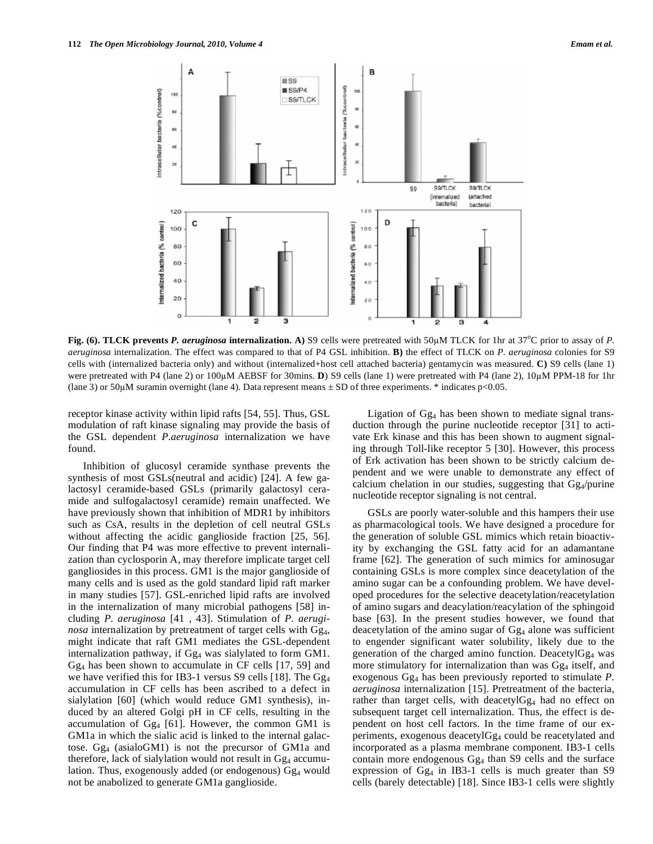

Fig. (6). TLCK prevents *P. aeruginosa* internalization. A) S9 cells were pretreated with 50µM TLCK for 1hr at 37<sup>o</sup>C prior to assay of *P*. *aeruginosa* internalization. The effect was compared to that of P4 GSL inhibition. **B)** the effect of TLCK on *P. aeruginosa* colonies for S9 cells with (internalized bacteria only) and without (internalized+host cell attached bacteria) gentamycin was measured. **C)** S9 cells (lane 1) were pretreated with P4 (lane 2) or 100M AEBSF for 30mins. **D**) S9 cells (lane 1) were pretreated with P4 (lane 2), 10M PPM-18 for 1hr (lane 3) or 50 $\mu$ M suramin overnight (lane 4). Data represent means  $\pm$  SD of three experiments. \* indicates p<0.05.

receptor kinase activity within lipid rafts [54, 55]. Thus, GSL modulation of raft kinase signaling may provide the basis of the GSL dependent *P.aeruginosa* internalization we have found.

 Inhibition of glucosyl ceramide synthase prevents the synthesis of most GSLs(neutral and acidic) [24]. A few galactosyl ceramide-based GSLs (primarily galactosyl ceramide and sulfogalactosyl ceramide) remain unaffected. We have previously shown that inhibition of MDR1 by inhibitors such as CsA, results in the depletion of cell neutral GSLs without affecting the acidic ganglioside fraction [25, 56]. Our finding that P4 was more effective to prevent internalization than cyclosporin A, may therefore implicate target cell gangliosides in this process. GM1 is the major ganglioside of many cells and is used as the gold standard lipid raft marker in many studies [57]. GSL-enriched lipid rafts are involved in the internalization of many microbial pathogens [58] including *P. aeruginosa* [41 , 43]. Stimulation of *P. aeruginosa* internalization by pretreatment of target cells with Gg<sub>4</sub>, might indicate that raft GM1 mediates the GSL-dependent internalization pathway, if  $Gg<sub>4</sub>$  was sialylated to form  $GM1$ . Gg4 has been shown to accumulate in CF cells [17, 59] and we have verified this for IB3-1 versus S9 cells [18]. The  $Gg<sub>4</sub>$ accumulation in CF cells has been ascribed to a defect in sialylation [60] (which would reduce GM1 synthesis), induced by an altered Golgi pH in CF cells, resulting in the accumulation of  $Gg_4$  [61]. However, the common GM1 is GM1a in which the sialic acid is linked to the internal galactose.  $Gg_4$  (asialoGM1) is not the precursor of GM1a and therefore, lack of sialylation would not result in  $Gg<sub>4</sub>$  accumulation. Thus, exogenously added (or endogenous) Gg<sub>4</sub> would not be anabolized to generate GM1a ganglioside.

Ligation of  $Gg<sub>4</sub>$  has been shown to mediate signal transduction through the purine nucleotide receptor [31] to activate Erk kinase and this has been shown to augment signaling through Toll-like receptor 5 [30]. However, this process of Erk activation has been shown to be strictly calcium dependent and we were unable to demonstrate any effect of calcium chelation in our studies, suggesting that  $Gg_4$ /purine nucleotide receptor signaling is not central.

 GSLs are poorly water-soluble and this hampers their use as pharmacological tools. We have designed a procedure for the generation of soluble GSL mimics which retain bioactivity by exchanging the GSL fatty acid for an adamantane frame [62]. The generation of such mimics for aminosugar containing GSLs is more complex since deacetylation of the amino sugar can be a confounding problem. We have developed procedures for the selective deacetylation/reacetylation of amino sugars and deacylation/reacylation of the sphingoid base [63]. In the present studies however, we found that deacetylation of the amino sugar of  $Gg_4$  alone was sufficient to engender significant water solubility, likely due to the generation of the charged amino function. DeacetylGg4 was more stimulatory for internalization than was  $Gg<sub>4</sub>$  itself, and exogenous Gg4 has been previously reported to stimulate *P. aeruginosa* internalization [15]. Pretreatment of the bacteria, rather than target cells, with deacetyl $Gg_4$  had no effect on subsequent target cell internalization. Thus, the effect is dependent on host cell factors. In the time frame of our experiments, exogenous deacetylGg4 could be reacetylated and incorporated as a plasma membrane component. IB3-1 cells contain more endogenous  $Gg<sub>4</sub>$  than S9 cells and the surface expression of  $Gg<sub>4</sub>$  in IB3-1 cells is much greater than S9 cells (barely detectable) [18]. Since IB3-1 cells were slightly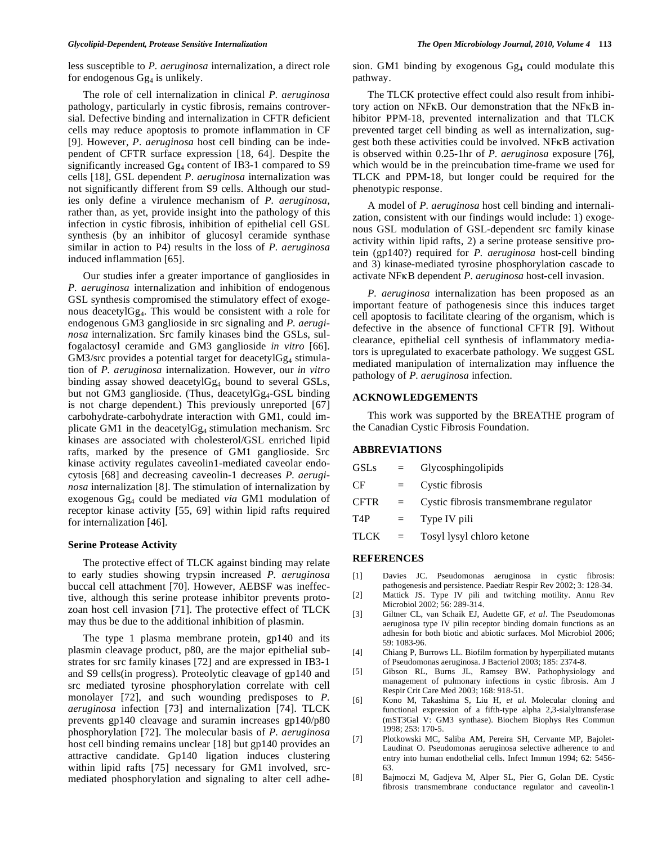less susceptible to *P. aeruginosa* internalization, a direct role for endogenous  $Gg_4$  is unlikely.

 The role of cell internalization in clinical *P. aeruginosa* pathology, particularly in cystic fibrosis, remains controversial. Defective binding and internalization in CFTR deficient cells may reduce apoptosis to promote inflammation in CF [9]. However, *P. aeruginosa* host cell binding can be independent of CFTR surface expression [18, 64]. Despite the significantly increased Gg<sub>4</sub> content of IB3-1 compared to S9 cells [18], GSL dependent *P. aeruginosa* internalization was not significantly different from S9 cells. Although our studies only define a virulence mechanism of *P. aeruginosa,*  rather than, as yet, provide insight into the pathology of this infection in cystic fibrosis, inhibition of epithelial cell GSL synthesis (by an inhibitor of glucosyl ceramide synthase similar in action to P4) results in the loss of *P. aeruginosa*  induced inflammation [65].

 Our studies infer a greater importance of gangliosides in *P. aeruginosa* internalization and inhibition of endogenous GSL synthesis compromised the stimulatory effect of exogenous deacetylGg4. This would be consistent with a role for endogenous GM3 ganglioside in src signaling and *P. aeruginosa* internalization. Src family kinases bind the GSLs, sulfogalactosyl ceramide and GM3 ganglioside *in vitro* [66].  $GM3/src$  provides a potential target for deacetyl $Gg<sub>4</sub>$  stimulation of *P. aeruginosa* internalization. However, our *in vitro* binding assay showed deacetyl $Gg_4$  bound to several GSLs, but not GM3 ganglioside. (Thus, deacetylGg<sub>4</sub>-GSL binding is not charge dependent.) This previously unreported [67] carbohydrate-carbohydrate interaction with GM1, could implicate GM1 in the deacetylGg<sub>4</sub> stimulation mechanism. Src kinases are associated with cholesterol/GSL enriched lipid rafts, marked by the presence of GM1 ganglioside. Src kinase activity regulates caveolin1-mediated caveolar endocytosis [68] and decreasing caveolin-1 decreases *P. aeruginosa* internalization [8]. The stimulation of internalization by exogenous Gg4 could be mediated *via* GM1 modulation of receptor kinase activity [55, 69] within lipid rafts required for internalization [46].

#### **Serine Protease Activity**

 The protective effect of TLCK against binding may relate to early studies showing trypsin increased *P. aeruginosa* buccal cell attachment [70]. However, AEBSF was ineffective, although this serine protease inhibitor prevents protozoan host cell invasion [71]. The protective effect of TLCK may thus be due to the additional inhibition of plasmin.

 The type 1 plasma membrane protein, gp140 and its plasmin cleavage product, p80, are the major epithelial substrates for src family kinases [72] and are expressed in IB3-1 and S9 cells(in progress). Proteolytic cleavage of gp140 and src mediated tyrosine phosphorylation correlate with cell monolayer [72], and such wounding predisposes to *P. aeruginosa* infection [73] and internalization [74]. TLCK prevents gp140 cleavage and suramin increases gp140/p80 phosphorylation [72]. The molecular basis of *P. aeruginosa*  host cell binding remains unclear [18] but gp140 provides an attractive candidate. Gp140 ligation induces clustering within lipid rafts [75] necessary for GM1 involved, srcmediated phosphorylation and signaling to alter cell adhesion. GM1 binding by exogenous  $Gg<sub>4</sub>$  could modulate this pathway.

 The TLCK protective effect could also result from inhibitory action on NFKB. Our demonstration that the NFKB inhibitor PPM-18, prevented internalization and that TLCK prevented target cell binding as well as internalization, suggest both these activities could be involved. NFKB activation is observed within 0.25-1hr of *P. aeruginosa* exposure [76], which would be in the preincubation time-frame we used for TLCK and PPM-18, but longer could be required for the phenotypic response.

 A model of *P. aeruginosa* host cell binding and internalization, consistent with our findings would include: 1) exogenous GSL modulation of GSL-dependent src family kinase activity within lipid rafts, 2) a serine protease sensitive protein (gp140?) required for *P. aeruginosa* host-cell binding and 3) kinase-mediated tyrosine phosphorylation cascade to activate NFKB dependent *P. aeruginosa* host-cell invasion.

 *P. aeruginosa* internalization has been proposed as an important feature of pathogenesis since this induces target cell apoptosis to facilitate clearing of the organism, which is defective in the absence of functional CFTR [9]. Without clearance, epithelial cell synthesis of inflammatory mediators is upregulated to exacerbate pathology. We suggest GSL mediated manipulation of internalization may influence the pathology of *P. aeruginosa* infection.

# **ACKNOWLEDGEMENTS**

 This work was supported by the BREATHE program of the Canadian Cystic Fibrosis Foundation.

# **ABBREVIATIONS**

| <b>GSLs</b> | $\equiv$ | <b>Glycosphingolipids</b>               |
|-------------|----------|-----------------------------------------|
| <b>CF</b>   | $=$      | Cystic fibrosis                         |
| <b>CFTR</b> | $\equiv$ | Cystic fibrosis transmembrane regulator |
| T4P         | $=$      | Type IV pili                            |
| $TLCK =$    |          | Tosyl lysyl chloro ketone               |

# **REFERENCES**

- [1] Davies JC. Pseudomonas aeruginosa in cystic fibrosis: pathogenesis and persistence. Paediatr Respir Rev 2002; 3: 128-34.
- [2] Mattick JS. Type IV pili and twitching motility. Annu Rev Microbiol 2002; 56: 289-314.
- [3] Giltner CL, van Schaik EJ, Audette GF, *et al*. The Pseudomonas aeruginosa type IV pilin receptor binding domain functions as an adhesin for both biotic and abiotic surfaces. Mol Microbiol 2006; 59: 1083-96.
- [4] Chiang P, Burrows LL. Biofilm formation by hyperpiliated mutants of Pseudomonas aeruginosa. J Bacteriol 2003; 185: 2374-8.
- [5] Gibson RL, Burns JL, Ramsey BW. Pathophysiology and management of pulmonary infections in cystic fibrosis. Am J Respir Crit Care Med 2003; 168: 918-51.
- [6] Kono M, Takashima S, Liu H, *et al*. Molecular cloning and functional expression of a fifth-type alpha 2,3-sialyltransferase (mST3Gal V: GM3 synthase). Biochem Biophys Res Commun 1998; 253: 170-5.
- [7] Plotkowski MC, Saliba AM, Pereira SH, Cervante MP, Bajolet-Laudinat O. Pseudomonas aeruginosa selective adherence to and entry into human endothelial cells. Infect Immun 1994; 62: 5456- 63.
- [8] Bajmoczi M, Gadjeva M, Alper SL, Pier G, Golan DE. Cystic fibrosis transmembrane conductance regulator and caveolin-1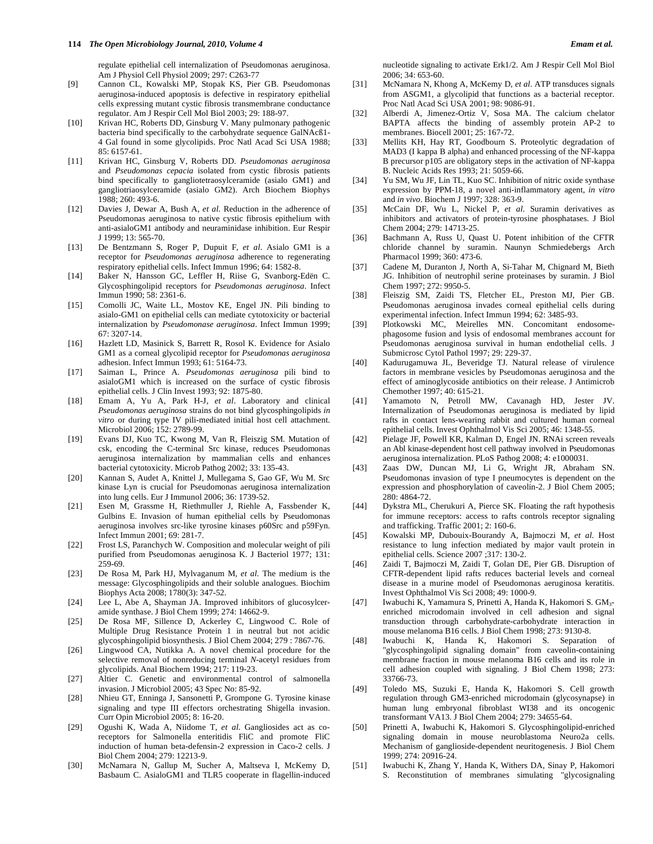regulate epithelial cell internalization of Pseudomonas aeruginosa. Am J Physiol Cell Physiol 2009; 297: C263-77

- [9] Cannon CL, Kowalski MP, Stopak KS, Pier GB. Pseudomonas aeruginosa-induced apoptosis is defective in respiratory epithelial cells expressing mutant cystic fibrosis transmembrane conductance regulator. Am J Respir Cell Mol Biol 2003; 29: 188-97.
- [10] Krivan HC, Roberts DD, Ginsburg V. Many pulmonary pathogenic bacteria bind specifically to the carbohydrate sequence GalNAcß1- 4 Gal found in some glycolipids. Proc Natl Acad Sci USA 1988; 85: 6157-61.
- [11] Krivan HC, Ginsburg V, Roberts DD. *Pseudomonas aeruginosa* and *Pseudomonas cepacia* isolated from cystic fibrosis patients bind specifically to gangliotetraosylceramide (asialo GM1) and gangliotriaosylceramide (asialo GM2). Arch Biochem Biophys 1988; 260: 493-6.
- [12] Davies J, Dewar A, Bush A, *et al*. Reduction in the adherence of Pseudomonas aeruginosa to native cystic fibrosis epithelium with anti-asialoGM1 antibody and neuraminidase inhibition. Eur Respir J 1999; 13: 565-70.
- [13] De Bentzmann S, Roger P, Dupuit F, *et al*. Asialo GM1 is a receptor for *Pseudomonas aeruginosa* adherence to regenerating respiratory epithelial cells. Infect Immun 1996; 64: 1582-8.
- [14] Baker N, Hansson GC, Leffler H, Riise G, Svanborg-Edën C. Glycosphingolipid receptors for *Pseudomonas aeruginosa*. Infect Immun 1990; 58: 2361-6.
- [15] Comolli JC, Waite LL, Mostov KE, Engel JN. Pili binding to asialo-GM1 on epithelial cells can mediate cytotoxicity or bacterial internalization by *Pseudomonase aeruginosa*. Infect Immun 1999; 67: 3207-14.
- [16] Hazlett LD, Masinick S, Barrett R, Rosol K. Evidence for Asialo GM1 as a corneal glycolipid receptor for *Pseudomonas aeruginosa* adhesion. Infect Immun 1993; 61: 5164-73.
- [17] Saiman L, Prince A. *Pseudomonas aeruginosa* pili bind to asialoGM1 which is increased on the surface of cystic fibrosis epithelial cells. J Clin Invest 1993; 92: 1875-80.
- [18] Emam A, Yu A, Park H-J, *et al*. Laboratory and clinical *Pseudomonas aeruginosa* strains do not bind glycosphingolipids *in vitro* or during type IV pili-mediated initial host cell attachment. Microbiol 2006; 152: 2789-99.
- [19] Evans DJ, Kuo TC, Kwong M, Van R, Fleiszig SM. Mutation of csk, encoding the C-terminal Src kinase, reduces Pseudomonas aeruginosa internalization by mammalian cells and enhances bacterial cytotoxicity. Microb Pathog 2002; 33: 135-43.
- [20] Kannan S, Audet A, Knittel J, Mullegama S, Gao GF, Wu M. Src kinase Lyn is crucial for Pseudomonas aeruginosa internalization into lung cells. Eur J Immunol 2006; 36: 1739-52.
- [21] Esen M, Grassme H, Riethmuller J, Riehle A, Fassbender K, Gulbins E. Invasion of human epithelial cells by Pseudomonas aeruginosa involves src-like tyrosine kinases p60Src and p59Fyn. Infect Immun 2001; 69: 281-7.
- [22] Frost LS, Paranchych W. Composition and molecular weight of pili purified from Pseudomonas aeruginosa K. J Bacteriol 1977; 131: 259-69.
- [23] De Rosa M, Park HJ, Mylvaganum M, *et al*. The medium is the message: Glycosphingolipids and their soluble analogues. Biochim Biophys Acta 2008; 1780(3): 347-52.
- [24] Lee L, Abe A, Shayman JA. Improved inhibitors of glucosylceramide synthase. J Biol Chem 1999; 274: 14662-9.
- [25] De Rosa MF, Sillence D, Ackerley C, Lingwood C. Role of Multiple Drug Resistance Protein 1 in neutral but not acidic glycosphingolipid biosynthesis. J Biol Chem 2004; 279 : 7867-76.
- [26] Lingwood CA, Nutikka A. A novel chemical procedure for the selective removal of nonreducing terminal *N*-acetyl residues from glycolipids. Anal Biochem 1994; 217: 119-23.
- [27] Altier C. Genetic and environmental control of salmonella invasion. J Microbiol 2005; 43 Spec No: 85-92.
- [28] Nhieu GT, Enninga J, Sansonetti P, Grompone G. Tyrosine kinase signaling and type III effectors orchestrating Shigella invasion. Curr Opin Microbiol 2005; 8: 16-20.
- [29] Ogushi K, Wada A, Niidome T, *et al*. Gangliosides act as coreceptors for Salmonella enteritidis FliC and promote FliC induction of human beta-defensin-2 expression in Caco-2 cells. J Biol Chem 2004; 279: 12213-9.
- [30] McNamara N, Gallup M, Sucher A, Maltseva I, McKemy D, Basbaum C. AsialoGM1 and TLR5 cooperate in flagellin-induced

nucleotide signaling to activate Erk1/2. Am J Respir Cell Mol Biol 2006; 34: 653-60.

- [31] McNamara N, Khong A, McKemy D, *et al*. ATP transduces signals from ASGM1, a glycolipid that functions as a bacterial receptor. Proc Natl Acad Sci USA 2001; 98: 9086-91.
- [32] Alberdi A, Jimenez-Ortiz V, Sosa MA. The calcium chelator BAPTA affects the binding of assembly protein AP-2 to membranes. Biocell 2001; 25: 167-72.
- [33] Mellits KH, Hay RT, Goodbourn S. Proteolytic degradation of MAD3 (I kappa B alpha) and enhanced processing of the NF-kappa B precursor p105 are obligatory steps in the activation of NF-kappa B. Nucleic Acids Res 1993; 21: 5059-66.
- [34] Yu SM, Wu JF, Lin TL, Kuo SC. Inhibition of nitric oxide synthase expression by PPM-18, a novel anti-inflammatory agent, *in vitro* and *in vivo*. Biochem J 1997; 328: 363-9.
- [35] McCain DF, Wu L, Nickel P, *et al*. Suramin derivatives as inhibitors and activators of protein-tyrosine phosphatases. J Biol Chem 2004; 279: 14713-25.
- [36] Bachmann A, Russ U, Quast U. Potent inhibition of the CFTR chloride channel by suramin. Naunyn Schmiedebergs Arch Pharmacol 1999; 360: 473-6.
- [37] Cadene M, Duranton J, North A, Si-Tahar M, Chignard M, Bieth JG. Inhibition of neutrophil serine proteinases by suramin. J Biol Chem 1997; 272: 9950-5.
- [38] Fleiszig SM, Zaidi TS, Fletcher EL, Preston MJ, Pier GB. Pseudomonas aeruginosa invades corneal epithelial cells during experimental infection. Infect Immun 1994; 62: 3485-93.
- [39] Plotkowski MC, Meirelles MN. Concomitant endosomephagosome fusion and lysis of endosomal membranes account for Pseudomonas aeruginosa survival in human endothelial cells. J Submicrosc Cytol Pathol 1997; 29: 229-37.
- [40] Kadurugamuwa JL, Beveridge TJ. Natural release of virulence factors in membrane vesicles by Pseudomonas aeruginosa and the effect of aminoglycoside antibiotics on their release. J Antimicrob Chemother 1997; 40: 615-21.
- [41] Yamamoto N, Petroll MW, Cavanagh HD, Jester JV. Internalization of Pseudomonas aeruginosa is mediated by lipid rafts in contact lens-wearing rabbit and cultured human corneal epithelial cells. Invest Ophthalmol Vis Sci 2005; 46: 1348-55.
- [42] Pielage JF, Powell KR, Kalman D, Engel JN. RNAi screen reveals an Abl kinase-dependent host cell pathway involved in Pseudomonas aeruginosa internalization. PLoS Pathog 2008; 4: e1000031.
- [43] Zaas DW, Duncan MJ, Li G, Wright JR, Abraham SN. Pseudomonas invasion of type I pneumocytes is dependent on the expression and phosphorylation of caveolin-2. J Biol Chem 2005; 280: 4864-72.
- [44] Dykstra ML, Cherukuri A, Pierce SK. Floating the raft hypothesis for immune receptors: access to rafts controls receptor signaling and trafficking. Traffic 2001; 2: 160-6.
- [45] Kowalski MP, Dubouix-Bourandy A, Bajmoczi M, *et al*. Host resistance to lung infection mediated by major vault protein in epithelial cells. Science 2007 ;317: 130-2.
- [46] Zaidi T, Bajmoczi M, Zaidi T, Golan DE, Pier GB. Disruption of CFTR-dependent lipid rafts reduces bacterial levels and corneal disease in a murine model of Pseudomonas aeruginosa keratitis. Invest Ophthalmol Vis Sci 2008; 49: 1000-9.
- [47] Iwabuchi K, Yamamura S, Prinetti A, Handa K, Hakomori S. GM<sub>3</sub>enriched microdomain involved in cell adhesion and signal transduction through carbohydrate-carbohydrate interaction in mouse melanoma B16 cells. J Biol Chem 1998; 273: 9130-8.
- [48] Iwabuchi K, Handa K, Hakomori S. Separation of "glycosphingolipid signaling domain" from caveolin-containing membrane fraction in mouse melanoma B16 cells and its role in cell adhesion coupled with signaling. J Biol Chem 1998; 273: 33766-73.
- [49] Toledo MS, Suzuki E, Handa K, Hakomori S. Cell growth regulation through GM3-enriched microdomain (glycosynapse) in human lung embryonal fibroblast WI38 and its oncogenic transformant VA13. J Biol Chem 2004; 279: 34655-64.
- [50] Prinetti A, Iwabuchi K, Hakomori S. Glycosphingolipid-enriched signaling domain in mouse neuroblastoma Neuro2a cells. Mechanism of ganglioside-dependent neuritogenesis. J Biol Chem 1999; 274: 20916-24.
- [51] Iwabuchi K, Zhang Y, Handa K, Withers DA, Sinay P, Hakomori S. Reconstitution of membranes simulating "glycosignaling